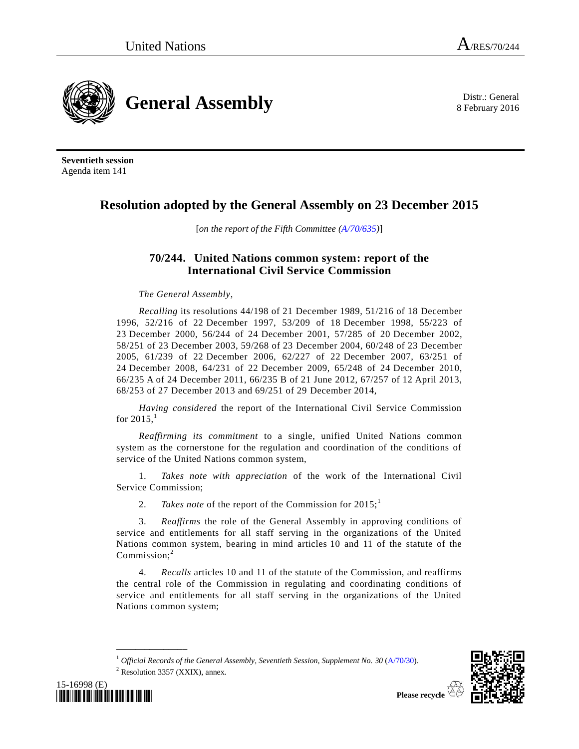

8 February 2016



**Seventieth session** Agenda item 141

# **Resolution adopted by the General Assembly on 23 December 2015**

[*on the report of the Fifth Committee [\(A/70/635\)](http://undocs.org/A/70/635)*]

## **70/244. United Nations common system: report of the International Civil Service Commission**

*The General Assembly*,

*Recalling* its resolutions 44/198 of 21 December 1989, 51/216 of 18 December 1996, 52/216 of 22 December 1997, 53/209 of 18 December 1998, 55/223 of 23 December 2000, 56/244 of 24 December 2001, 57/285 of 20 December 2002, 58/251 of 23 December 2003, 59/268 of 23 December 2004, 60/248 of 23 December 2005, 61/239 of 22 December 2006, 62/227 of 22 December 2007, 63/251 of 24 December 2008, 64/231 of 22 December 2009, 65/248 of 24 December 2010, 66/235 A of 24 December 2011, 66/235 B of 21 June 2012, 67/257 of 12 April 2013, 68/253 of 27 December 2013 and 69/251 of 29 December 2014,

<span id="page-0-0"></span>*Having considered* the report of the International Civil Service Commission for  $2015$ ,<sup>1</sup>

*Reaffirming its commitment* to a single, unified United Nations common system as the cornerstone for the regulation and coordination of the conditions of service of the United Nations common system,

1. *Takes note with appreciation* of the work of the International Civil Service Commission;

2. *Takes note* of the report of the Commission for  $2015$  $2015$  $2015$ ;<sup>1</sup>

3. *Reaffirms* the role of the General Assembly in approving conditions of service and entitlements for all staff serving in the organizations of the United Nations common system, bearing in mind articles 10 and 11 of the statute of the Commission:<sup>2</sup>

4. *Recalls* articles 10 and 11 of the statute of the Commission, and reaffirms the central role of the Commission in regulating and coordinating conditions of service and entitlements for all staff serving in the organizations of the United Nations common system;





**\_\_\_\_\_\_\_\_\_\_\_\_\_\_\_**

<sup>1</sup> *Official Records of the General Assembly, Seventieth Session, Supplement No. 30* [\(A/70/30\)](http://undocs.org/A/70/30).  $2$  Resolution 3357 (XXIX), annex.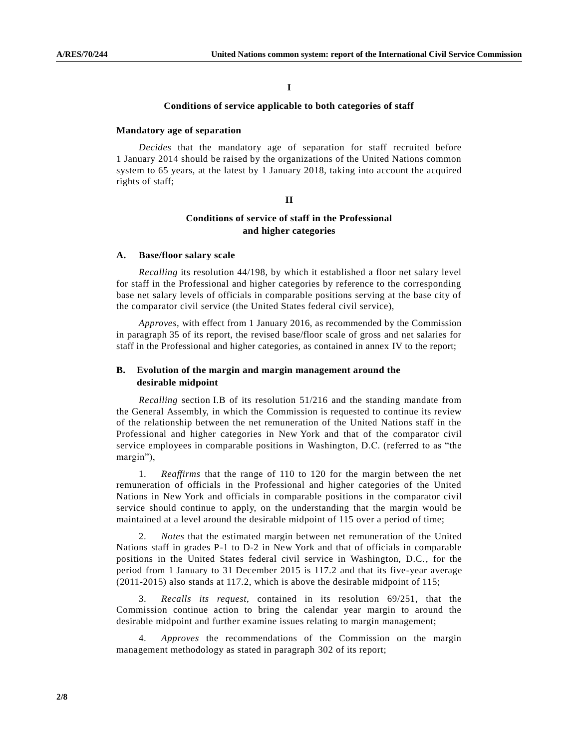**I**

## **Conditions of service applicable to both categories of staff**

## **Mandatory age of separation**

*Decides* that the mandatory age of separation for staff recruited before 1 January 2014 should be raised by the organizations of the United Nations common system to 65 years, at the latest by 1 January 2018, taking into account the acquired rights of staff;

#### **II**

## **Conditions of service of staff in the Professional and higher categories**

## **A. Base/floor salary scale**

*Recalling* its resolution 44/198, by which it established a floor net salary level for staff in the Professional and higher categories by reference to the corresponding base net salary levels of officials in comparable positions serving at the base city of the comparator civil service (the United States federal civil service),

*Approves*, with effect from 1 January 2016, as recommended by the Commission in paragraph 35 of its report, the revised base/floor scale of gross and net salaries for staff in the Professional and higher categories, as contained in annex IV to the report;

## **B. Evolution of the margin and margin management around the desirable midpoint**

*Recalling* section I.B of its resolution 51/216 and the standing mandate from the General Assembly, in which the Commission is requested to continue its review of the relationship between the net remuneration of the United Nations staff in the Professional and higher categories in New York and that of the comparator civil service employees in comparable positions in Washington, D.C. (referred to as "the margin"),

1. *Reaffirms* that the range of 110 to 120 for the margin between the net remuneration of officials in the Professional and higher categories of the United Nations in New York and officials in comparable positions in the comparator civil service should continue to apply, on the understanding that the margin would be maintained at a level around the desirable midpoint of 115 over a period of time;

2. *Notes* that the estimated margin between net remuneration of the United Nations staff in grades P-1 to D-2 in New York and that of officials in comparable positions in the United States federal civil service in Washington, D.C., for the period from 1 January to 31 December 2015 is 117.2 and that its five-year average (2011-2015) also stands at 117.2, which is above the desirable midpoint of 115;

3. *Recalls its request*, contained in its resolution 69/251, that the Commission continue action to bring the calendar year margin to around the desirable midpoint and further examine issues relating to margin management;

4. *Approves* the recommendations of the Commission on the margin management methodology as stated in paragraph 302 of its report;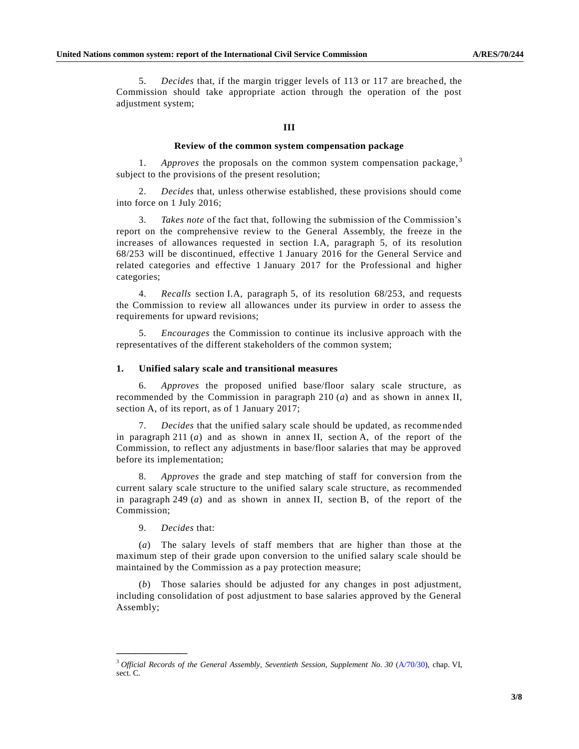5. *Decides* that, if the margin trigger levels of 113 or 117 are breached, the Commission should take appropriate action through the operation of the post adjustment system;

#### **III**

## **Review of the common system compensation package**

1. *Approves* the proposals on the common system compensation package, <sup>3</sup> subject to the provisions of the present resolution;

2. *Decides* that, unless otherwise established, these provisions should come into force on 1 July 2016;

3. *Takes note* of the fact that, following the submission of the Commission's report on the comprehensive review to the General Assembly, the freeze in the increases of allowances requested in section I.A, paragraph 5, of its resolution 68/253 will be discontinued, effective 1 January 2016 for the General Service and related categories and effective 1 January 2017 for the Professional and higher categories;

4. *Recalls* section I.A, paragraph 5, of its resolution 68/253, and requests the Commission to review all allowances under its purview in order to assess the requirements for upward revisions;

5. *Encourages* the Commission to continue its inclusive approach with the representatives of the different stakeholders of the common system;

#### **1. Unified salary scale and transitional measures**

6. *Approves* the proposed unified base/floor salary scale structure, as recommended by the Commission in paragraph 210 (*a*) and as shown in annex II, section A, of its report, as of 1 January 2017;

7. *Decides* that the unified salary scale should be updated, as recommended in paragraph 211 (*a*) and as shown in annex II, section A, of the report of the Commission, to reflect any adjustments in base/floor salaries that may be approved before its implementation;

8. *Approves* the grade and step matching of staff for conversion from the current salary scale structure to the unified salary scale structure, as recommended in paragraph 249 (*a*) and as shown in annex II, section B, of the report of the Commission;

9. *Decides* that:

**\_\_\_\_\_\_\_\_\_\_\_\_\_\_\_**

(*a*) The salary levels of staff members that are higher than those at the maximum step of their grade upon conversion to the unified salary scale should be maintained by the Commission as a pay protection measure;

(*b*) Those salaries should be adjusted for any changes in post adjustment, including consolidation of post adjustment to base salaries approved by the General Assembly;

<sup>3</sup> *Official Records of the General Assembly, Seventieth Session, Supplement No. 30* [\(A/70/30\)](http://undocs.org/A/70/30), chap. VI, sect. C.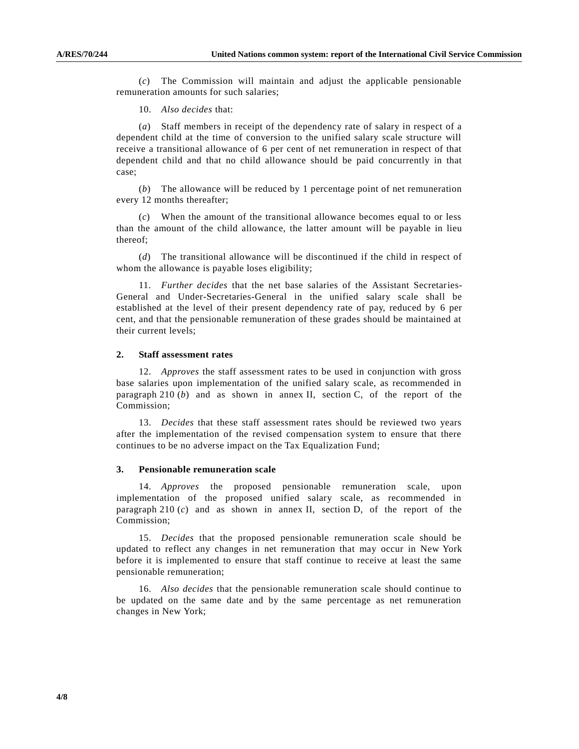(*c*) The Commission will maintain and adjust the applicable pensionable remuneration amounts for such salaries;

10. *Also decides* that:

(*a*) Staff members in receipt of the dependency rate of salary in respect of a dependent child at the time of conversion to the unified salary scale structure will receive a transitional allowance of 6 per cent of net remuneration in respect of that dependent child and that no child allowance should be paid concurrently in that case;

(*b*) The allowance will be reduced by 1 percentage point of net remuneration every 12 months thereafter;

(*c*) When the amount of the transitional allowance becomes equal to or less than the amount of the child allowance, the latter amount will be payable in lieu thereof;

(*d*) The transitional allowance will be discontinued if the child in respect of whom the allowance is payable loses eligibility;

11. *Further decides* that the net base salaries of the Assistant Secretaries-General and Under-Secretaries-General in the unified salary scale shall be established at the level of their present dependency rate of pay, reduced by 6 per cent, and that the pensionable remuneration of these grades should be maintained at their current levels;

#### **2. Staff assessment rates**

12. *Approves* the staff assessment rates to be used in conjunction with gross base salaries upon implementation of the unified salary scale, as recommended in paragraph 210 (*b*) and as shown in annex II, section C, of the report of the Commission;

13. *Decides* that these staff assessment rates should be reviewed two years after the implementation of the revised compensation system to ensure that there continues to be no adverse impact on the Tax Equalization Fund;

#### **3. Pensionable remuneration scale**

14. *Approves* the proposed pensionable remuneration scale, upon implementation of the proposed unified salary scale, as recommended in paragraph 210  $(c)$  and as shown in annex II, section D, of the report of the Commission;

15. *Decides* that the proposed pensionable remuneration scale should be updated to reflect any changes in net remuneration that may occur in New York before it is implemented to ensure that staff continue to receive at least the same pensionable remuneration;

16. *Also decides* that the pensionable remuneration scale should continue to be updated on the same date and by the same percentage as net remuneration changes in New York;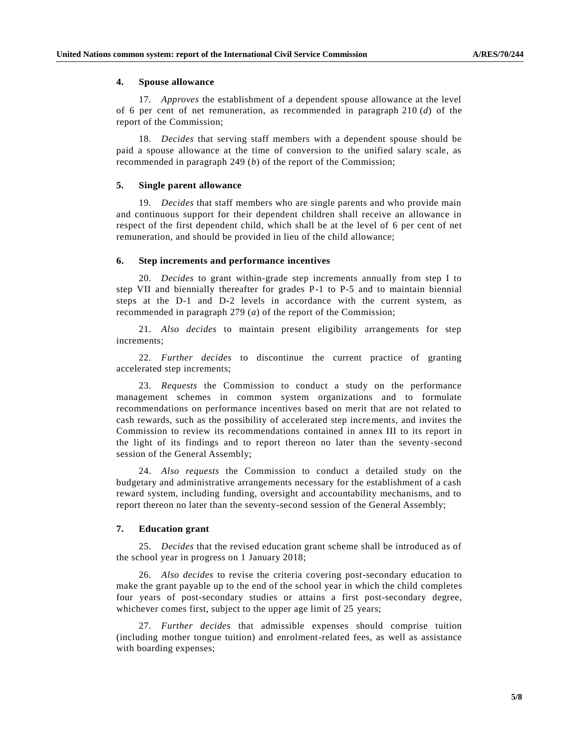### **4. Spouse allowance**

17. *Approves* the establishment of a dependent spouse allowance at the level of 6 per cent of net remuneration, as recommended in paragraph 210 (*d*) of the report of the Commission;

18. *Decides* that serving staff members with a dependent spouse should be paid a spouse allowance at the time of conversion to the unified salary scale, as recommended in paragraph 249 (*b*) of the report of the Commission;

#### **5. Single parent allowance**

19. *Decides* that staff members who are single parents and who provide main and continuous support for their dependent children shall receive an allowance in respect of the first dependent child, which shall be at the level of 6 per cent of net remuneration, and should be provided in lieu of the child allowance;

#### **6. Step increments and performance incentives**

20. *Decides* to grant within-grade step increments annually from step I to step VII and biennially thereafter for grades P-1 to P-5 and to maintain biennial steps at the D-1 and D-2 levels in accordance with the current system, as recommended in paragraph 279 (*a*) of the report of the Commission;

21. *Also decides* to maintain present eligibility arrangements for step increments;

22. *Further decides* to discontinue the current practice of granting accelerated step increments;

23. *Requests* the Commission to conduct a study on the performance management schemes in common system organizations and to formulate recommendations on performance incentives based on merit that are not related to cash rewards, such as the possibility of accelerated step increments, and invites the Commission to review its recommendations contained in annex III to its report in the light of its findings and to report thereon no later than the seventy-second session of the General Assembly;

24. *Also requests* the Commission to conduct a detailed study on the budgetary and administrative arrangements necessary for the establishment of a cash reward system, including funding, oversight and accountability mechanisms, and to report thereon no later than the seventy-second session of the General Assembly;

#### **7. Education grant**

25. *Decides* that the revised education grant scheme shall be introduced as of the school year in progress on 1 January 2018;

26. *Also decides* to revise the criteria covering post-secondary education to make the grant payable up to the end of the school year in which the child completes four years of post-secondary studies or attains a first post-secondary degree, whichever comes first, subject to the upper age limit of 25 years;

27. *Further decides* that admissible expenses should comprise tuition (including mother tongue tuition) and enrolment-related fees, as well as assistance with boarding expenses;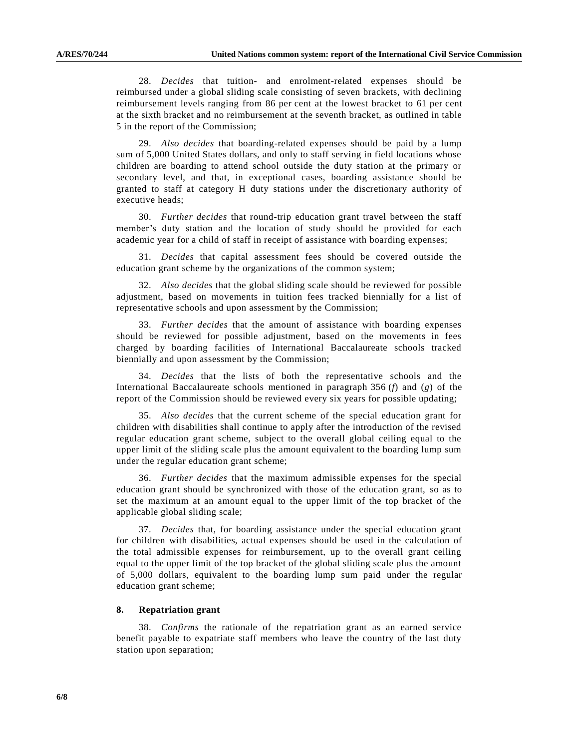28. *Decides* that tuition- and enrolment-related expenses should be reimbursed under a global sliding scale consisting of seven brackets, with declining reimbursement levels ranging from 86 per cent at the lowest bracket to 61 per cent at the sixth bracket and no reimbursement at the seventh bracket, as outlined in table 5 in the report of the Commission;

29. *Also decides* that boarding-related expenses should be paid by a lump sum of 5,000 United States dollars, and only to staff serving in field locations whose children are boarding to attend school outside the duty station at the primary or secondary level, and that, in exceptional cases, boarding assistance should be granted to staff at category H duty stations under the discretionary authority of executive heads;

30. *Further decides* that round-trip education grant travel between the staff member's duty station and the location of study should be provided for each academic year for a child of staff in receipt of assistance with boarding expenses;

31. *Decides* that capital assessment fees should be covered outside the education grant scheme by the organizations of the common system;

32. *Also decides* that the global sliding scale should be reviewed for possible adjustment, based on movements in tuition fees tracked biennially for a list of representative schools and upon assessment by the Commission;

33. *Further decides* that the amount of assistance with boarding expenses should be reviewed for possible adjustment, based on the movements in fees charged by boarding facilities of International Baccalaureate schools tracked biennially and upon assessment by the Commission;

34. *Decides* that the lists of both the representative schools and the International Baccalaureate schools mentioned in paragraph 356 (*f*) and (*g*) of the report of the Commission should be reviewed every six years for possible updating;

35. *Also decides* that the current scheme of the special education grant for children with disabilities shall continue to apply after the introduction of the revised regular education grant scheme, subject to the overall global ceiling equal to the upper limit of the sliding scale plus the amount equivalent to the boarding lump sum under the regular education grant scheme;

36. *Further decides* that the maximum admissible expenses for the special education grant should be synchronized with those of the education grant, so as to set the maximum at an amount equal to the upper limit of the top bracket of the applicable global sliding scale;

37. *Decides* that, for boarding assistance under the special education grant for children with disabilities, actual expenses should be used in the calculation of the total admissible expenses for reimbursement, up to the overall grant ceiling equal to the upper limit of the top bracket of the global sliding scale plus the amount of 5,000 dollars, equivalent to the boarding lump sum paid under the regular education grant scheme;

#### **8. Repatriation grant**

38. *Confirms* the rationale of the repatriation grant as an earned service benefit payable to expatriate staff members who leave the country of the last duty station upon separation;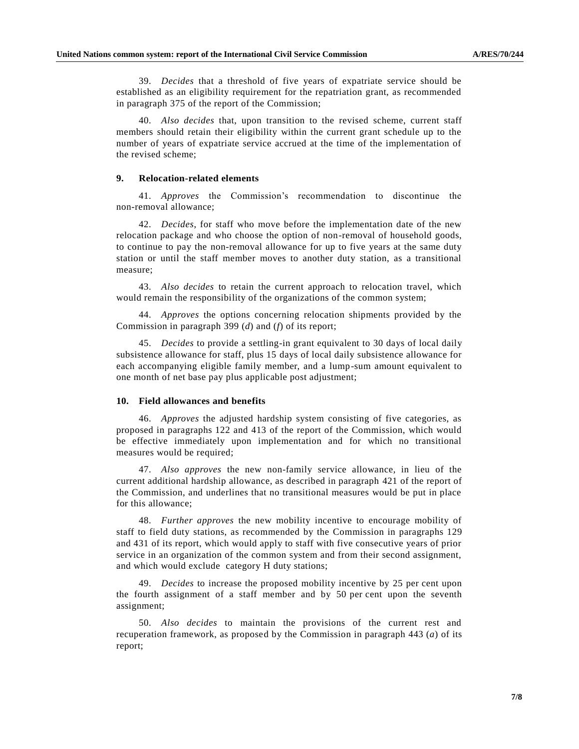39. *Decides* that a threshold of five years of expatriate service should be established as an eligibility requirement for the repatriation grant, as recommended in paragraph 375 of the report of the Commission;

40. *Also decides* that, upon transition to the revised scheme, current staff members should retain their eligibility within the current grant schedule up to the number of years of expatriate service accrued at the time of the implementation of the revised scheme;

## **9. Relocation-related elements**

41. *Approves* the Commission's recommendation to discontinue the non-removal allowance;

42. *Decides*, for staff who move before the implementation date of the new relocation package and who choose the option of non-removal of household goods, to continue to pay the non-removal allowance for up to five years at the same duty station or until the staff member moves to another duty station, as a transitional measure;

43. *Also decides* to retain the current approach to relocation travel, which would remain the responsibility of the organizations of the common system;

44. *Approves* the options concerning relocation shipments provided by the Commission in paragraph 399 (*d*) and (*f*) of its report;

45. *Decides* to provide a settling-in grant equivalent to 30 days of local daily subsistence allowance for staff, plus 15 days of local daily subsistence allowance for each accompanying eligible family member, and a lump-sum amount equivalent to one month of net base pay plus applicable post adjustment;

#### **10. Field allowances and benefits**

46. *Approves* the adjusted hardship system consisting of five categories, as proposed in paragraphs 122 and 413 of the report of the Commission, which would be effective immediately upon implementation and for which no transitional measures would be required;

47. *Also approves* the new non-family service allowance, in lieu of the current additional hardship allowance, as described in paragraph 421 of the report of the Commission, and underlines that no transitional measures would be put in place for this allowance;

48. *Further approves* the new mobility incentive to encourage mobility of staff to field duty stations, as recommended by the Commission in paragraphs 129 and 431 of its report, which would apply to staff with five consecutive years of prior service in an organization of the common system and from their second assignment, and which would exclude category H duty stations;

49. *Decides* to increase the proposed mobility incentive by 25 per cent upon the fourth assignment of a staff member and by 50 per cent upon the seventh assignment;

50. *Also decides* to maintain the provisions of the current rest and recuperation framework, as proposed by the Commission in paragraph 443 (*a*) of its report;